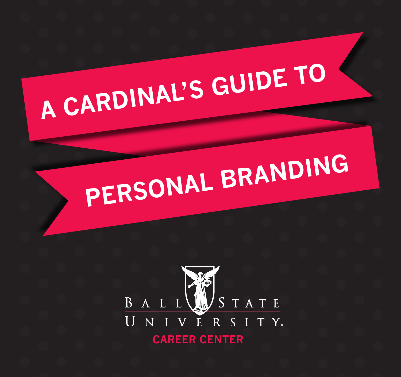# **A CARDINAL'S GUIDE TO**

# **PERSONAL BRANDING**

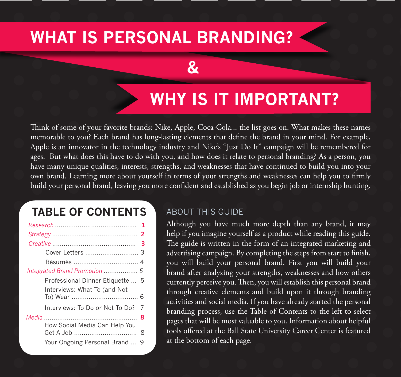# **WHAT IS PERSONAL BRANDING?**

# **WHY IS IT IMPORTANT?**

Think of some of your favorite brands: Nike, Apple, Coca-Cola... the list goes on. What makes these names memorable to you? Each brand has long-lasting elements that define the brand in your mind. For example, Apple is an innovator in the technology industry and Nike's "Just Do It" campaign will be remembered for ages. But what does this have to do with you, and how does it relate to personal branding? As a person, you have many unique qualities, interests, strengths, and weaknesses that have continued to build you into your own brand. Learning more about yourself in terms of your strengths and weaknesses can help you to firmly build your personal brand, leaving you more confident and established as you begin job or internship hunting.

**&**

## **TABLE OF CONTENTS**

|                                                                              | 3 |
|------------------------------------------------------------------------------|---|
| Cover Letters  3                                                             |   |
| Résumés  4                                                                   |   |
| Integrated Brand Promotion  5                                                |   |
| Professional Dinner Etiquette  5                                             |   |
| Interviews: What To (and Not                                                 |   |
| Interviews: To Do or Not To Do?                                              | 7 |
|                                                                              | ឧ |
| How Social Media Can Help You<br>Get A Job<br>Your Ongoing Personal Brand  9 | 8 |

#### ABOUT THIS GUIDE

Although you have much more depth than any brand, it may help if you imagine yourself as a product while reading this guide. The guide is written in the form of an integrated marketing and advertising campaign. By completing the steps from start to finish, you will build your personal brand. First you will build your brand after analyzing your strengths, weaknesses and how others currently perceive you. Then, you will establish this personal brand through creative elements and build upon it through branding activities and social media. If you have already started the personal branding process, use the Table of Contents to the left to select pages that will be most valuable to you. Information about helpful tools offered at the Ball State University Career Center is featured at the bottom of each page.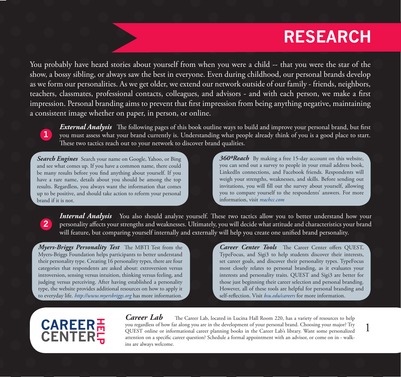# **RESEARCH**

You probably have heard stories about yourself from when you were a child -- that you were the star of the show, a bossy sibling, or always saw the best in everyone. Even during childhood, our personal brands develop as we form our personalities. As we get older, we extend our network outside of our family - friends, neighbors, teachers, classmates, professional contacts, colleagues, and advisors - and with each person, we make a first impression. Personal branding aims to prevent that first impression from being anything negative, maintaining a consistent image whether on paper, in person, or online.

*External Analysis* The following pages of this book outline ways to build and improve your personal brand, but first you must assess what your brand currently is. Understanding what people already think of you is a good place to start. These two tactics reach out to your network to discover brand qualities.

*Search Engines* Search your name on Google, Yahoo, or Bing and see what comes up. If you have a common name, there could be many results before you find anything about yourself. If you have a rare name, details about you should be among the top results. Regardless, you always want the information that comes up to be positive, and should take action to reform your personal brand if it is not.

*3600Reach* By making a free 15-day account on this website, you can send out a survey to people in your email address book, LinkedIn connections, and Facebook friends. Respondents will weigh your strengths, weaknesses, and skills. Before sending out invitations, you will fill out the survey about yourself, allowing you to compare yourself to the respondents' answers. For more information, visit *reachcc.com*

*Internal Analysis* You also should analyze yourself. These two tactics allow you to better understand how your personality affects your strengths and weaknesses. Ultimately, you will decide what attitude and characteristics your brand will feature, but comparing yourself internally and externally will help you create one unified brand personality. **2**

*Myers-Briggs Personality Test* The MBTI Test from the Myers-Briggs Foundation helps participants to better understand their personality type. Creating 16 personality types, there are four categories that respondents are asked about: extroversion versus introversion, sensing versus intuition, thinking versus feeling, and judging versus perceiving. After having established a personality type, the website provides additional resources on how to apply it to everyday life. *http://www.myersbriggs.org* has more information.

*Career Center Tools* The Career Center offers QUEST, TypeFocus, and Sigi3 to help students discover their interests, set career goals, and discover their personality types. TypeFocus most closely relates to personal branding, as it evaluates your interests and personality traits. QUEST and Sigi3 are better for those just beginning their career selection and personal branding. However, all of these tools are helpful for personal branding and self-reflection. Visit *bsu.edu/careers* for more information.

**1**

**CAREER** 1 **CAREER** 1 **CAREER** 1 **CAREER** 1 **CAREER** 1 **CAREER** 1 **CAREER** 1 **CAREER** 1 **CAREER** 1 **CAREER** 1 **CALC CAREER** 1 **CALC CAREER** 1 **CALC CAREER** 1 **CALC CAREER** 1 **CALC CAREER** 1 **CALC CALC CALC** The Career Lab, located in Lucina Hall Room 220, has a variety of resources to help you regardless of how far along you are in the development of your personal brand. Choosing your major? Try QUEST online or informational career planning books in the Career Lab's library. Want some personalized attention on a specific career question? Schedule a formal appointment with an advisor, or come on in - walkins are always welcome.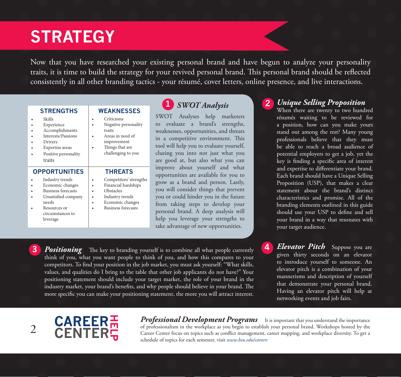# **STRATEGY**

Now that you have researched your existing personal brand and have begun to analyze your personality traits, it is time to build the strategy for your revived personal brand. This personal brand should be reflected consistently in all other branding tactics - your résumé, cover letters, online presence, and live interactions.

#### **STRENGTHS WEAKNESSES**

|                      | Skills                                        | Criticisms                                    |
|----------------------|-----------------------------------------------|-----------------------------------------------|
|                      | Experience                                    | Negative personality                          |
|                      | Accomplishments                               | traits                                        |
|                      | Interests/Passions                            | Areas in need of                              |
|                      | Drivers                                       | improvement                                   |
|                      | Expertise areas                               | Things that are                               |
|                      | Positive personality<br>traits                | challenging to you                            |
| <b>OPPORTUNITIES</b> |                                               |                                               |
|                      |                                               | <b>THREATS</b>                                |
|                      |                                               |                                               |
|                      | Industry trends                               | Competitors' strengths                        |
|                      | Economic changes<br><b>Business forecasts</b> | Financial hardships<br>Obstacles              |
|                      |                                               |                                               |
|                      | Unsatisfied company<br>needs                  | Industry trends                               |
|                      | Resources or                                  | Economic changes<br><b>Business forecasts</b> |
|                      | circumstances to                              |                                               |

## *SWOT Analysis* **1**

SWOT Analyses help marketers to evaluate a brand's strengths, weaknesses, opportunities, and threats in a competitive environment. This tool will help you to evaluate yourself, clueing you into not just what you are good at, but also what you can improve about yourself and what opportunities are available for you to grow as a brand and person. Lastly, you will consider things that prevent you or could hinder you in the future from taking steps to develop your personal brand. A deep analysis will help you leverage your strengths to take advantage of new opportunities.

**3 Positioning** The key to branding yourself is to combine all what people currently **4** *Elevator Pitch* Suppose you are think of you, what you want people to think of you, and how this compares to your competitors. To find your position in the job market, you must ask yourself: "What skills, values, and qualities do I bring to the table that other job applicants do not have?" Your positioning statement should include your target market, the role of your brand in the industry market, your brand's benefits, and why people should believe in your brand. The more specific you can make your positioning statement, the more you will attract interest.

#### **2** *Unique Selling Proposition*

When there are twenty to two hundred résumés waiting to be reviewed for a position, how can you make yours stand out among the rest? Many young professionals believe that they must be able to reach a broad audience of potential employers to get a job, yet the key is finding a specific area of interest and expertise to differentiate your brand. Each brand should have a Unique Selling Proposition (USP), that makes a clear statement about the brand's distinct characteristics and promise. All of the branding elements outlined in this guide should use your USP to define and sell your brand in a way that resonates with your target audience.

given thirty seconds on an elevator to introduce yourself to someone. An elevator pitch is a combination of your mannerisms and description of yourself that demonstrate your personal brand. Having an elevator pitch will help at networking events and job fairs.

#### **CAREER** CAREER퓨<br>CENTER<del>디</del> 2

*Professional Development Programs* It is important that you understand the importance of professionalism in the workplace as you begin to establish your personal brand. Workshops hosted by the Career Center focus on topics such as conflict management, career mapping, and workplace diversity. To get a schedule of topics for each semester, visit *www.bsu.edu/careers*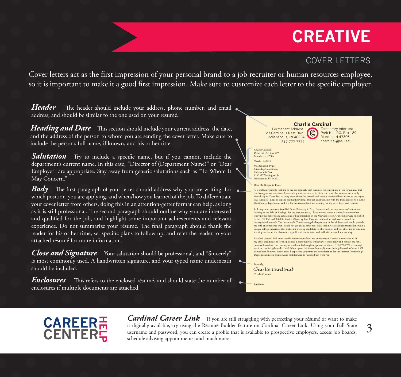# **CREATIVE**

## COVER LETTERS

Cover letters act as the first impression of your personal brand to a job recruiter or human resources employee, so it is important to make it a good first impression. Make sure to customize each letter to the specific employer.

*Header* The header should include your address, phone number, and email address, and should be similar to the one used on your résumé.

*Heading and Date* This section should include your current address, the date, and the address of the person to whom you are sending the cover letter. Make sure to include the person's full name, if known, and his or her title.

**Salutation** Try to include a specific name, but if you cannot, include the department's current name. In this case, "Director of (Department Name)" or "Dear Employer" are appropriate. Stay away from generic salutations such as "To Whom It May Concern."

**Body** The first paragraph of your letter should address why you are writing, for which position you are applying, and when/how you learned of the job. To differentiate your cover letter from others, doing this in an attention-getter format can help, as long as it is still professional. The second paragraph should outline why you are interested and qualified for the job, and highlight some important achievements and relevant experience. Do not summarize your résumé. The final paragraph should thank the reader for his or her time, set specific plans to follow up, and refer the reader to your attached résumé for more information.

*Close and Signature* Your salutation should be professional, and "Sincerely" is most commonly used. A handwritten signature, and your typed name underneath should be included.

*Enclosures* This refers to the enclosed résumé, and should state the number of enclosures if multiple documents are attached.

#### C**C Charlie Cardinal**

Permanent Address: 123 Cardinal's Nest Blvd. Indianapolis, IN 46234 317-777-7777

Temporary Address: Park Hall P.O. Box 189 Muncie, IN 47306 ccardinal@bsu.edu

3



Dear Mr. Benjamin Pruis,

As a child, my parents took me to the zoo regularly each summer, fostering in me a love for animals that has been growing ever since. I particularly took an interest in birds, and spent last summer on a study abroad trip in Costa Rica learning more about the animals and various species of birds native to the region. This summer, I hope to expand on that knowledge through an internship with the Indianapolis Zoo in the Ornithology department, and it is for this reason that I am sending you my cover letter and résumé.

As I prepare to graduate from Ball State University in May, I understand the importance of continuous learning in the field of Zoology. For the past two years, I have worked under a senior faculty member,<br>studying the patterns and causations of bird migration in the Midwest region. Our studies were published in the U.S. Fish and Wildlife Service Migratory Bird Program publication, and won an award for<br>distinguished research. The Indianapolis Zoo is among the largest zoos in the Midwest and would provide<br>me with an experience t unique college experience that makes me a strong candidate for this position and will allow me to continue learning outside of the classroom, regardless of the location and staff with whom I am working.

Attached you will find more specific information about me on my résumé, which sum my other qualifications for the position. I hope that you will review it thoroughly and contact me for a personal interview. The best way to reach me is through my phone number at 317-777-7777 or through email at ccardinal@bsu.edu. I will follow up on this internship application during the week of April 1 if I do not hear from you before then. I appreciate your time and consideration for the summer Ornithology Department Intern position, and look forward to hearing back from you.

Sincerely, Charlie Cardinal *Charlie Cardinal*

Enclosure



Cardinal Career Link If you are still struggling with perfecting your résumé or want to make it digitally available, try using the Résumé Builder feature on Cardinal Career Link. Using your Ball State username and password, you can create a profile that is available to prospective employers, access job boards, schedule advising appointments, and much more.

 $\overline{\phantom{0}}$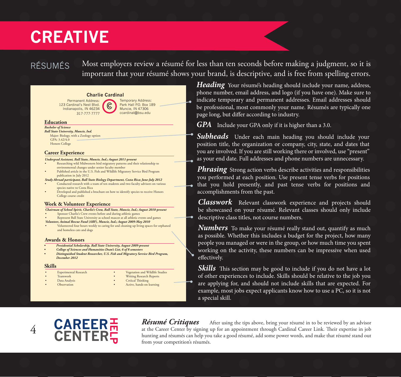# **CREATIVE**

## RÉSUMÉS

Most employers review a résumé for less than ten seconds before making a judgment, so it is important that your résumé shows your brand, is descriptive, and is free from spelling errors.

÷

#### **Charlie Cardinal**

C **C**

Temporary Address: Park Hall P.O. Box 189 Muncie, IN 47306 ccardinal@bsu.edu

Permanent Address: 123 Cardinal's Nest Blvd. Indianapolis, IN 46234 317-777-7777

#### **Education**

*Bachelor of Science Ball State University, Muncie, Ind.* Major: Biology, with a Zoology option GPA: 3.42/4.0 Honors College

#### **Career Experience**

*Undergrad Assistant, Ball State, Muncie, Ind.; August 2011-present*

- Researching wild Midwestern bird migratory patterns and their relationship to environmental changes under senior faculty member
- Published article in the U.S. Fish and Wildlife Migratory Service Bird Program publication in July 2012
- *Study Abroad participant, Ball State Biology Department, Costa Rica; June-July 2012* Conducted research with a team of ten students and two faculty advisors on various species native to Costa Rica
- Developed and published a brochure on how to identify species to receive Honors College course credit

#### **Work & Volunteer Experience**

- *Chairman of School Spirit, Charlie's Crew, Ball State, Muncie, Ind.; August 2010-present*
- Sponsor Charlie's Crew events before and during athletic games
- • Represent Ball State University as school mascot at all athletic events and games
- *Volunteer, Animal Rescue Fund (ARF), Muncie, Ind.; August 2009-May 2010*
- Volunteered four hours weekly to caring for and cleaning up living spaces for orphaned and homeless cars and dogs

#### **Awards & Honors**

- *• Presidential Scholarship, Ball State University, August 2009-present*
- *• College of Sciences and Humanities Dean's List, 6 of 8 semesters*
- *Distinguished Student Researcher, U.S. Fish and Migratory Service Bird Program, December 2012*

#### **Skills**

- Experimental Research
- Teamwork
- Data Analysis
	- Observation
- • Vegetation and Wildlife Studies Writing Research Reports
- Crtiical Thinking
- Active, hands-on learning

*Heading* Your résumé's heading should include your name, address, phone number, email address, and logo (if you have one). Make sure to indicate temporary and permanent addresses. Email addresses should be professional, most commonly your name. Résumés are typically one page long, but differ according to industry.

**GPA** Include your GPA only if it is higher than a 3.0.

Subheads Under each main heading you should include your position title, the organization or company, city, state, and dates that you are involved. If you are still working there or involved, use "present" as your end date. Full addresses and phone numbers are unnecessary.

**Phrasing** Strong action verbs describe activities and responsibilities you performed at each position. Use present tense verbs for positions that you hold presently, and past tense verbs for positions and accomplishments from the past.

*Classwork* Relevant classwork experience and projects should be showcased on your résumé. Relevant classes should only include descriptive class titles, not course numbers.

*Numbers* To make your résumé really stand out, quantify as much as possible. Whether this includes a budget for the project, how many people you managed or were in the group, or how much time you spent working on the activity, these numbers can be impressive when used effectively.

**Skills** This section may be good to include if you do not have a lot of other experiences to include. Skills should be relative to the job you are applying for, and should not include skills that are expected. For example, most jobs expect applicants know how to use a PC, so it is not a special skill.



*Résumé Critiques* After using the tips above, bring your résumé in to be reviewed by an advisor at the Career Center by signing up for an appointment through Cardinal Career Link. Their expertise in job hunting and résumés can help you take a good résumé, add some power words, and make that résumé stand out from your competition's résumés.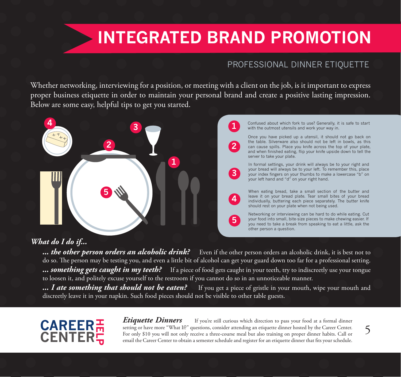# **INTEGRATED BRAND PROMOTION**

## PROFESSIONAL DINNER ETIQUETTE

Confused about which fork to use? Generally, it is safe to start

Once you have picked up a utensil, it should not go back on the table. Silverware also should not be left in bowls, as this can cause spills. Place you knife across the top of your plate, and when finished eating, flip your knife upside down to tell the

In formal settings, your drink will always be to your right and your bread will always be to your left. To remember this, place your index fingers on your thumbs to make a lowercase "b" on

When eating bread, take a small section of the butter and leave it on your bread plate. Tear small bites of your bread individually, buttering each piece separately. The butter knife

Networking or interviewing can be hard to do while eating. Cut your food into small, bite-size pieces to make chewing easier. If you need to take a break from speaking to eat a little, ask the

with the outmost utensils and work your way in.

your left hand and "d" on your right hand.

should rest on your plate when not being used.

server to take your plate.

other person a question.

Whether networking, interviewing for a position, or meeting with a client on the job, is it important to express proper business etiquette in order to maintain your personal brand and create a positive lasting impression. Below are some easy, helpful tips to get you started.



*What do I do if...*

*... the other person orders an alcoholic drink?* Even if the other person orders an alcoholic drink, it is best not to do so. The person may be testing you, and even a little bit of alcohol can get your guard down too far for a professional setting. *... something gets caught in my teeth?* If a piece of food gets caught in your teeth, try to indiscreetly use your tongue to loosen it, and politely excuse yourself to the restroom if you cannot do so in an unnoticeable manner.

*... I ate something that should not be eaten?* If you get a piece of gristle in your mouth, wipe your mouth and discreetly leave it in your napkin. Such food pieces should not be visible to other table guests.



*Etiquette Dinners* If you're still curious which direction to pass your food at a formal dinner setting or have more "What If?" questions, consider attending an etiquette dinner hosted by the Career Center. For only \$10 you will not only receive a three-course meal but also training on proper dinner habits. Call or email the Career Center to obtain a semester schedule and register for an etiquette dinner that fits your schedule.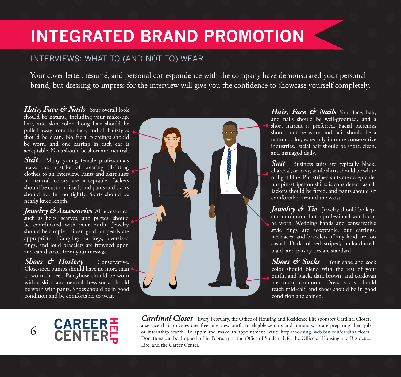# **INTEGRATED BRAND PROMOTION**

## INTERVIEWS: WHAT TO (AND NOT TO) WEAR

Your cover letter, résumé, and personal correspondence with the company have demonstrated your personal brand, but dressing to impress for the interview will give you the confidence to showcase yourself completely.

*Hair, Face & Nails* Your overall look should be natural, including your make-up, hair, and skin color. Long hair should be pulled away from the face, and all hairstyles should be clean. No facial piercings should be worn, and one earring in each ear is acceptable. Nails should be short and neutral.

**Suit** Many young female professionals make the mistake of wearing ill-fitting clothes to an interview. Pants and skirt suits in neutral colors are acceptable. Jackets should be custom-fitted, and pants and skirts should not fit too tightly. Skirts should be nearly knee length.

*Jewelry & Accessories* All accessories, such as belts, scarves, and purses, should be coordinated with your outfit. Jewelry should be simple - silver, gold, or pearls are appropriate. Dangling earrings, oversized rings, and loud bracelets are frowned upon and can distract from your message.

*Shoes & Hosiery* Conservative, Close-toed pumps should have no more than a two-inch heel. Pantyhose should be worn with a skirt, and neutral dress socks should be worn with pants. Shoes should be in good condition and be comfortable to wear.



*Hair, Face & Nails* Your face, hair, and nails should be well-groomed, and a short haircut is preferred. Facial piercings should not be worn and hair should be a natural color, especially in more conservative industries. Facial hair should be short, clean, and managed daily.

**Suit** Business suits are typically black, charcoal, or navy, while shirts should be white or light blue. Pin-striped suits are acceptable, but pin-stripes on shirts is considered casual. Jackets should be fitted, and pants should sit comfortably around the waist.

*Jewelry & Tie* Jewelry should be kept at a minimum, but a professional watch can be worn. Wedding bands and conservative style rings are acceptable, but earrings, necklaces, and bracelets of any kind are too casual. Dark-colored striped, polka-dotted, plaid, and paisley ties are standard.

*Shoes & Socks* Your shoe and sock color should blend with the rest of your outfit, and black, dark brown, and cordovan are most common. Dress socks should reach mid-calf, and shoes should be in good condition and shined.

![](_page_7_Picture_12.jpeg)

*Cardinal Closet* Every February, the Office of Housing and Residence Life sponsors Cardinal Closet, a service that provides one free interview outfit to eligible seniors and juniors who are preparing their job or internship search. To apply and make an appointment, visit: http://housing.iweb.bsu.edu/cardinalcloset. Donations can be dropped off in February at the Office of Student Life, the Office of Housing and Residence Life, and the Career Center.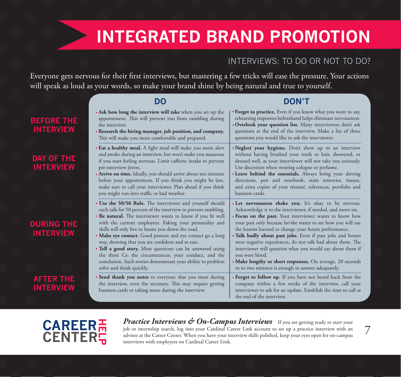# **INTEGRATED BRAND PROMOTION**

## INTERVIEWS: TO DO OR NOT TO DO?

Everyone gets nervous for their first interviews, but mastering a few tricks will ease the pressure. Your actions will speak as loud as your words, so make your brand shine by being natural and true to yourself.

| DO                                                                                                                                                                                                                                                                                                                                                                                                                                                                                                                                                                                                                                              | <b>DON'T</b>                                                                                                                                                                                                                                                                                                                                                                                                                                                                                                                                                                                                                           |
|-------------------------------------------------------------------------------------------------------------------------------------------------------------------------------------------------------------------------------------------------------------------------------------------------------------------------------------------------------------------------------------------------------------------------------------------------------------------------------------------------------------------------------------------------------------------------------------------------------------------------------------------------|----------------------------------------------------------------------------------------------------------------------------------------------------------------------------------------------------------------------------------------------------------------------------------------------------------------------------------------------------------------------------------------------------------------------------------------------------------------------------------------------------------------------------------------------------------------------------------------------------------------------------------------|
| • Ask how long the interview will take when you set up the<br>appointment. This will prevent you from rambling during<br>the interview.<br>. Research the hiring manager, job position, and company.<br>This will make you more comfortable and prepared.                                                                                                                                                                                                                                                                                                                                                                                       | • Forget to practice. Even if you know what you want to say,<br>rehearsing responses beforehand helps eliminate nervousness.<br>• Overlook your question list. Many interviewees don't ask<br>questions at the end of the interview. Make a list of three<br>questions you would like to ask the interviewer.                                                                                                                                                                                                                                                                                                                          |
| • Eat a healthy meal. A light meal will make you more alert<br>and awake during an interview, but won't make you nauseous<br>if you start feeling nervous. Limit caffeine intake to prevent<br>pre-interview jitters.<br>• Arrive on time. Ideally, you should arrive about ten minutes<br>before your appointment. If you think you might be late,<br>make sure to call your interviewer. Plan ahead if you think<br>you might run into traffic or bad weather.                                                                                                                                                                                | . Neglect your hygiene. Don't show up to an interview<br>without having brushed your teeth or hair, showered, or<br>dressed well, as your interviewer will not take you seriously.<br>Use discretion when wearing cologne or perfume.<br>• Leave behind the essentials. Always bring your driving<br>directions, pen and notebook, stain removier, tissues,<br>and extra copies of your résumé, references, portfolio and<br>business cards.                                                                                                                                                                                           |
| • Use the 50/50 Rule. The interviewer and yourself should<br>each talk for 50 percent of the interview to prevent rambling.<br>. Be natural. The interviewer wants to know if you fit well<br>with the current employees. Faking your personality and<br>skills will only live to haunt you down the road.<br>• Make eye contact. Good posture and eye contact go a long<br>way, showing that you are confident and at ease.<br>. Tell a good story. Most questions can be answered using<br>the three Cs: the circumstances, your conduct, and the<br>conclusion. Such stories demonstrate your ability to problem<br>solve and think quickly. | • Let nervousness shake you. It's okay to be nervous.<br>Acknowledge it to the interviewer, if needed, and move on.<br>. Focus on the past. Your interviewer wants to know how<br>your past only because he/she wants to see how you will use<br>the lessons learned to change your future performance.<br>. Talk badly about past jobs. Even if past jobs and bosses<br>were negative experiences, do not talk bad about them. The<br>interviewer will question what you would say about them if<br>you were hired.<br>• Make lengthy or short responses. On average, 20 seconds<br>to to two minutes is enough to answer adequately. |
| • Send thank you notes to everyone that you meet during<br>the interview, even the secretary. This may require getting<br>business cards or taking notes during the interview.                                                                                                                                                                                                                                                                                                                                                                                                                                                                  | • Forget to follow up. If you have not heard back from the<br>company within a few weeks of the interview, call your<br>interviewer to ask for an update. Establish the time to call at<br>the end of the interview.                                                                                                                                                                                                                                                                                                                                                                                                                   |

#### **BEFORE TH INTERVIE**

#### **DAY OF THE INTERVIEW**

#### **DURING TH INTERVIEW**

#### **AFTER THE INTERVIEW**

**CAREER** 7 *Practice Interviews & On-Campus Interviews* If you are getting ready to start your<br>
job or internship search, log into your Cardinal Career Link account to set up a practice interview with an<br> **CENTERE** advisor *Practice Interviews & On-Campus Interviews* If you are getting ready to start your job or internship search, log into your Cardinal Career Link account to set up a practice interview with an advisor at the Career Center. When you have your interview skills polished, keep your eyes open for on-campus interviews with employers on Cardinal Career Link.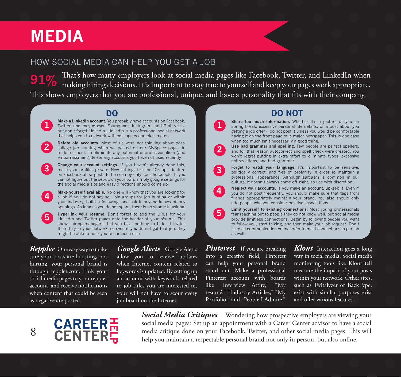## **MEDIA**

### HOW SOCIAL MEDIA CAN HELP YOU GET A JOB

**91%** That's how many employers look at social media pages like Facebook, Twitter, and LinkedIn when making hiring decisions. It is important to stay true to yourself and keep your pages work appropriate.<br>Also making hirin This shows employers that you are professional, unique, and have a personality that fits with their company.

**1 1** Twitter, and maybe even Foursquare, Instagram, and Pinterest -- **Make a LinkedIn account.** You probably have accounts on Facebook, but don't forget LinkedIn. LinkedIn is a professional social network that helps you to network with colleagues and classmates.

**2 2** middle school. To eliminate any potential unprofessionalism (and **Delete old accounts.** Most of us were not thinking about postcollege job hunting when we posted on our MySpace pages in embarrassment) delete any accounts you have not used recently.

**3 3** make your profiles private. New settings like the "Groups" feature **Change your account settings.** If you haven't already done this, on Facebook allow posts to be seen by only specific people. If you cannot figure out the set-up on your own, simply google settings for the social media site and easy directions should come up.

**4 A a Make yourself available.** No one will know that you are looking for a job if you do not say so. Join groups for job hunting or within a job if you do not say so. Join groups for job hunting or within your industry, build a following, and ask if anyone knows of any openings. As long as you do not spam, there is no shame in asking.

**5 Hyperlink your résumé.** Don't forget to add the URLs for your **Hyperlink your résumé.** Don't forget to add the URLs for your shows hiring managers that you have nothing to hide. It invites them to join your network, so even if you do not get that job, they might be able to refer you to someone else.

*Reppler* One easy way to make sure your posts are boosting, not hurting, your personal brand is through reppler.com. Link your social media pages to your reppler account, and receive notifications when content that could be seen as negative are posted.

*Google Alerts* Google Alerts allow you to receive updates when Internet content related to keywords is updated. By setting up an account with keywords related to job titles you are interested in, your will not have to scour every job board on the Internet.

## **DO DO NOT**

Share too much information. Whether it's a picture of you on spring break, excessive personal life details, or a post about you getting a job offer -- do not post it unless you would be comfortable having it on the front page of a major newspaper. This is one case when too much isn't necessarily a good thing.

**Use bad grammar and spelling.** Few people are perfect spellers, and for that reason autocorrect and spell check were created. You won't regret putting in extra effort to eliminate typos, excessive abbreviations, and bad grammar.

**Forget to watch your language.** It's important to be sensitive, politically correct, and free of profanity in order to maintain a professional appearance. Although sarcasm is common in our culture, it doesn't always come off right, so use with discretion.

**Neglect your accounts.** If you make an account, upkeep it. Even if you do not post frequently, you should make sure that tags from friends appropriately maintain your brand. You also should only add people who you consider positive associations.

**Limit yourself to existing connections.** Most young professionals fear reaching out to people they do not know well, but social media provide limitless connections. Begin by following people you want to follow you, start talking, and then make your job request. Don't keep all communication online; offer to meet connections in person as well.

*Pinterest* If you are breaking into a creative field, Pinterest can help your personal brand stand out. Make a professional Pinterest account with boards like "Interview Attire," "My résumé," "Industry Articles," "My Portfolio," and "People I Admire."

*Klout* Interaction goes a long way in social media. Social media monitoring tools like Klout tell measure the impact of your posts within your network. Other sites, such as Twitalyzer or BackType, exist with similar purposes exist and offer various features.

![](_page_9_Picture_19.jpeg)

**Social Media Critiques** Wondering how prospective employers are viewing your social media pages? Set up an appointment with a Career Center advisor to have a social media critique done on your Facebook, Twitter, and other social media pages. This will help you maintain a respectable personal brand not only in person, but also online.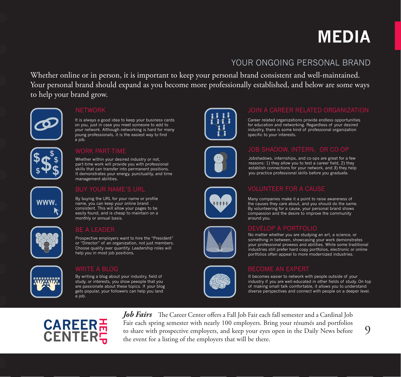# **MEDIA**

## YOUR ONGOING PERSONAL BRAND

Whether online or in person, it is important to keep your personal brand consistent and well-maintained. Your personal brand should expand as you become more professionally established, and below are some ways to help your brand grow.

![](_page_10_Picture_3.jpeg)

It is always a good idea to keep your business cards on you, just in case you meet someone to add to your network. Although networking is hard for many young professionals, it is the easiest way to find a job.

![](_page_10_Picture_6.jpeg)

Whether within your desired industry or not, part-time work will provide you with professional skills that can transfer into permanent positions. It demonstrates your energy, punctuality, and time management abilities.

![](_page_10_Picture_9.jpeg)

#### BUY YOUR NAME'S URL

By buying the URL for your name or profile name, you can keep your online brand consistent. This will allow your pages to be easily found, and is cheap to maintain on a monthly or annual basis.

![](_page_10_Picture_12.jpeg)

#### BE A LEADER

Prospective employers want to hire the "President" or "Director" of an organization, not just members. Choose quality over quantity. Leadership roles will help you in most job positions.

![](_page_10_Picture_15.jpeg)

By writing a blog about your industry, field of study, or interests, you show peeople that you are passionate about these topics. If your blog gets popular, your followers can help you land a job.

![](_page_10_Picture_18.jpeg)

![](_page_10_Picture_19.jpeg)

#### JOIN A CAREER RELATED ORGANIZATION

Career related organizations provide endless opportunities for education and networking. Regardless of your desired industry, there is some kind of professional organization specific to your interests.

![](_page_10_Picture_22.jpeg)

#### JOB SHADOW, INTERN, OR CO-OP

Jobshadows, internships, and co-ops are great for a few reasons: 1) they allow you to test a career field, 2) they establish connections for your network, and 3) they help you practice professional skills before you graduate.

![](_page_10_Picture_25.jpeg)

#### VOLUNTEER FOR A CAUSE

Many companies make it a point to raise awareness of the causes they care about, and you should do the same. By volunteering for a cause, your personal brand shows compassion and the desire to improve the community around you.

#### DEVELOP A PORTFOLIO

No matter whether you are studying an art, a science, or something in between, showcasing your work demonstrates your professional prowess and abilities. While some traditional industries still prefer hard copy portfolios, electronic or online portfolios often appeal to more modernized industries.

#### WRITE A BLOG BECOME AN EXPERT

It becomes easier to network with people outside of your industry if you are well-educated in other fields of study. On top of making small talk comfortable, it allows you to understand diverse perspectives and connect with people on a deeper level.

![](_page_10_Picture_32.jpeg)

**CAREER** Fair each spring semester with nearly 100 employers. Bring your résumés and portfolios to share with prospective employers, and keep your eyes open in the Daily News before the event for a listing of the employers Job Fairs The Career Center offers a Fall Job Fair each fall semester and a Cardinal Job Fair each spring semester with nearly 100 employers. Bring your résumés and portfolios to share with prospective employers, and keep your eyes open in the Daily News before the event for a listing of the employers that will be there.